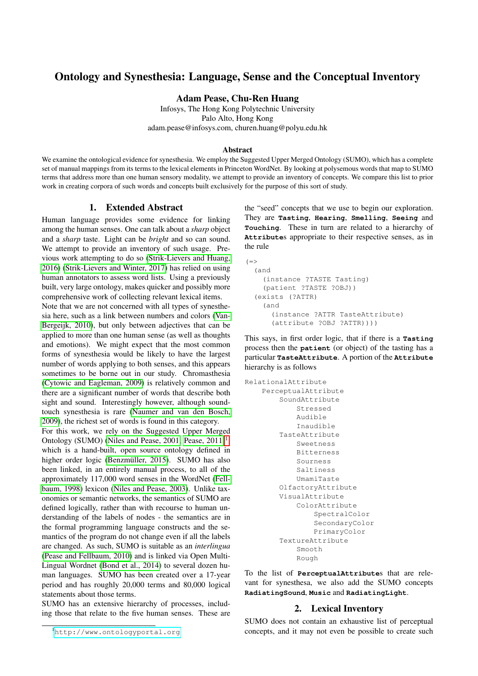# Ontology and Synesthesia: Language, Sense and the Conceptual Inventory

Adam Pease, Chu-Ren Huang

Infosys, The Hong Kong Polytechnic University Palo Alto, Hong Kong adam.pease@infosys.com, churen.huang@polyu.edu.hk

#### Abstract

We examine the ontological evidence for synesthesia. We employ the Suggested Upper Merged Ontology (SUMO), which has a complete set of manual mappings from its terms to the lexical elements in Princeton WordNet. By looking at polysemous words that map to SUMO terms that address more than one human sensory modality, we attempt to provide an inventory of concepts. We compare this list to prior work in creating corpora of such words and concepts built exclusively for the purpose of this sort of study.

### 1. Extended Abstract

Human language provides some evidence for linking among the human senses. One can talk about a *sharp* object and a *sharp* taste. Light can be *bright* and so can sound. We attempt to provide an inventory of such usage. Previous work attempting to do so [\(Strik-Lievers and Huang,](#page-3-0) [2016\)](#page-3-0) [\(Strik-Lievers and Winter, 2017\)](#page-3-1) has relied on using human annotators to assess word lists. Using a previously built, very large ontology, makes quicker and possibly more comprehensive work of collecting relevant lexical items.

Note that we are not concerned with all types of synesthesia here, such as a link between numbers and colors [\(Van-](#page-3-2)[Bergeijk, 2010\)](#page-3-2), but only between adjectives that can be applied to more than one human sense (as well as thoughts and emotions). We might expect that the most common forms of synesthesia would be likely to have the largest number of words applying to both senses, and this appears sometimes to be borne out in our study. Chromasthesia [\(Cytowic and Eagleman, 2009\)](#page-3-3) is relatively common and there are a significant number of words that describe both sight and sound. Interestingly however, although soundtouch synesthesia is rare [\(Naumer and van den Bosch,](#page-3-4) [2009\)](#page-3-4), the richest set of words is found in this category.

For this work, we rely on the Suggested Upper Merged Ontology (SUMO) [\(Niles and Pease, 2001;](#page-3-5) Pease,  $2011$  $2011$  $2011$ )<sup>1</sup>, which is a hand-built, open source ontology defined in higher order logic (Benzmüller, 2015). SUMO has also been linked, in an entirely manual process, to all of the approximately 117,000 word senses in the WordNet [\(Fell](#page-3-8)[baum, 1998\)](#page-3-8) lexicon [\(Niles and Pease, 2003\)](#page-3-9). Unlike taxonomies or semantic networks, the semantics of SUMO are defined logically, rather than with recourse to human understanding of the labels of nodes - the semantics are in the formal programming language constructs and the semantics of the program do not change even if all the labels are changed. As such, SUMO is suitable as an *interlingua* [\(Pease and Fellbaum, 2010\)](#page-3-10) and is linked via Open Multi-Lingual Wordnet [\(Bond et al., 2014\)](#page-3-11) to several dozen human languages. SUMO has been created over a 17-year period and has roughly 20,000 terms and 80,000 logical statements about those terms.

SUMO has an extensive hierarchy of processes, including those that relate to the five human senses. These are the "seed" concepts that we use to begin our exploration. They are **Tasting**, **Hearing**, **Smelling**, **Seeing** and **Touching**. These in turn are related to a hierarchy of **Attribute**s appropriate to their respective senses, as in the rule

```
(=)(and
    (instance ?TASTE Tasting)
    (patient ?TASTE ?OBJ))
  (exists (?ATTR)
    (and
      (instance ?ATTR TasteAttribute)
      (attribute ?OBJ ?ATTR))))
```
This says, in first order logic, that if there is a **Tasting** process then the **patient** (or object) of the tasting has a particular **TasteAttribute**. A portion of the **Attribute** hierarchy is as follows

```
RelationalAttribute
    PerceptualAttribute
        SoundAttribute
            Stressed
            Audible
            Inaudible
        TasteAttribute
            Sweetness
            Bitterness
            Sourness
            Saltiness
            UmamiTaste
        OlfactoryAttribute
        VisualAttribute
            ColorAttribute
                SpectralColor
                SecondaryColor
                PrimaryColor
        TextureAttribute
            Smooth
            Rough
```
To the list of **PerceptualAttribute**s that are relevant for synesthesa, we also add the SUMO concepts **RadiatingSound**, **Music** and **RadiatingLight**.

#### 2. Lexical Inventory

SUMO does not contain an exhaustive list of perceptual concepts, and it may not even be possible to create such

<span id="page-0-0"></span><sup>1</sup><http://www.ontologyportal.org>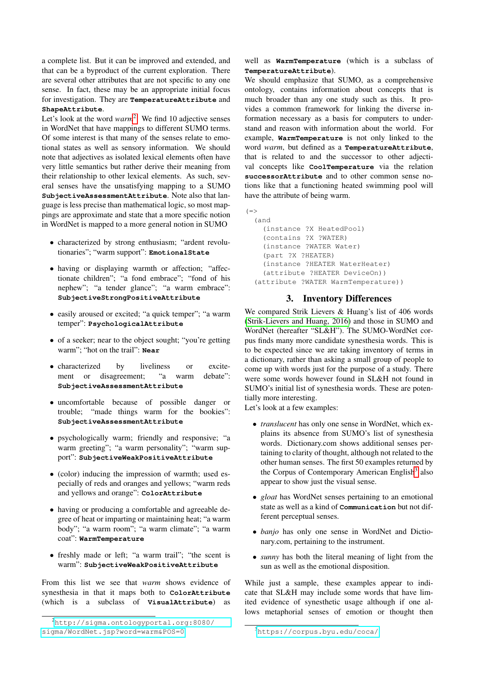a complete list. But it can be improved and extended, and that can be a byproduct of the current exploration. There are several other attributes that are not specific to any one sense. In fact, these may be an appropriate initial focus for investigation. They are **TemperatureAttribute** and **ShapeAttribute**.

Let's look at the word *warm*[2](#page-1-0) . We find 10 adjective senses in WordNet that have mappings to different SUMO terms. Of some interest is that many of the senses relate to emotional states as well as sensory information. We should note that adjectives as isolated lexical elements often have very little semantics but rather derive their meaning from their relationship to other lexical elements. As such, several senses have the unsatisfying mapping to a SUMO **SubjectiveAssessmentAttribute**. Note also that language is less precise than mathematical logic, so most mappings are approximate and state that a more specific notion in WordNet is mapped to a more general notion in SUMO

- characterized by strong enthusiasm; "ardent revolutionaries"; "warm support": **EmotionalState**
- having or displaying warmth or affection; "affectionate children"; "a fond embrace"; "fond of his nephew"; "a tender glance"; "a warm embrace": **SubjectiveStrongPositiveAttribute**
- easily aroused or excited; "a quick temper"; "a warm temper": **PsychologicalAttribute**
- of a seeker; near to the object sought; "you're getting warm"; "hot on the trail": **Near**
- characterized by liveliness or excitement or disagreement; "a warm debate": **SubjectiveAssessmentAttribute**
- uncomfortable because of possible danger or trouble; "made things warm for the bookies": **SubjectiveAssessmentAttribute**
- psychologically warm; friendly and responsive; "a warm greeting"; "a warm personality"; "warm support": **SubjectiveWeakPositiveAttribute**
- (color) inducing the impression of warmth; used especially of reds and oranges and yellows; "warm reds and yellows and orange": **ColorAttribute**
- having or producing a comfortable and agreeable degree of heat or imparting or maintaining heat; "a warm body"; "a warm room"; "a warm climate"; "a warm coat": **WarmTemperature**
- freshly made or left; "a warm trail"; "the scent is warm": **SubjectiveWeakPositiveAttribute**

From this list we see that *warm* shows evidence of synesthesia in that it maps both to **ColorAttribute** (which is a subclass of **VisualAttribute**) as

well as **WarmTemperature** (which is a subclass of **TemperatureAttribute**).

We should emphasize that SUMO, as a comprehensive ontology, contains information about concepts that is much broader than any one study such as this. It provides a common framework for linking the diverse information necessary as a basis for computers to understand and reason with information about the world. For example, **WarmTemperature** is not only linked to the word *warm*, but defined as a **TemperatureAttribute**, that is related to and the successor to other adjectival concepts like **CoolTemperature** via the relation **successorAttribute** and to other common sense notions like that a functioning heated swimming pool will have the attribute of being warm.

 $(=$ 

```
(and
  (instance ?X HeatedPool)
 (contains ?X ?WATER)
  (instance ?WATER Water)
 (part ?X ?HEATER)
  (instance ?HEATER WaterHeater)
  (attribute ?HEATER DeviceOn))
(attribute ?WATER WarmTemperature))
```
#### 3. Inventory Differences

We compared Strik Lievers & Huang's list of 406 words [\(Strik-Lievers and Huang, 2016\)](#page-3-0) and those in SUMO and WordNet (hereafter "SL&H"). The SUMO-WordNet corpus finds many more candidate synesthesia words. This is to be expected since we are taking inventory of terms in a dictionary, rather than asking a small group of people to come up with words just for the purpose of a study. There were some words however found in SL&H not found in SUMO's initial list of synesthesia words. These are potentially more interesting.

Let's look at a few examples:

- *translucent* has only one sense in WordNet, which explains its absence from SUMO's list of synesthesia words. Dictionary.com shows additional senses pertaining to clarity of thought, although not related to the other human senses. The first 50 examples returned by the Corpus of Contemporary American English<sup>[3](#page-1-1)</sup> also appear to show just the visual sense.
- *gloat* has WordNet senses pertaining to an emotional state as well as a kind of **Communication** but not different perceptual senses.
- *banjo* has only one sense in WordNet and Dictionary.com, pertaining to the instrument.
- *sunny* has both the literal meaning of light from the sun as well as the emotional disposition.

While just a sample, these examples appear to indicate that SL&H may include some words that have limited evidence of synesthetic usage although if one allows metaphorial senses of emotion or thought then

<span id="page-1-0"></span><sup>2</sup>[http://sigma.ontologyportal.org:8080/](http://sigma.on tologyportal.org:8080/sigma/WordNet.jsp?word=warm&POS=0) [sigma/WordNet.jsp?word=warm&POS=0](http://sigma.on tologyportal.org:8080/sigma/WordNet.jsp?word=warm&POS=0)

<span id="page-1-1"></span><sup>3</sup><https://corpus.byu.edu/coca/>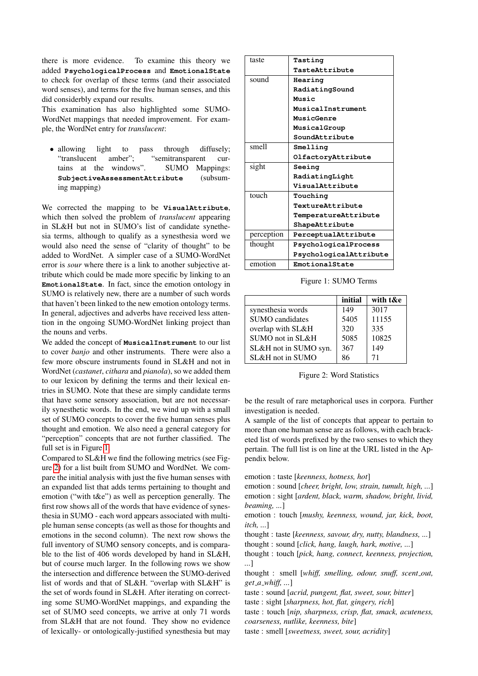there is more evidence. To examine this theory we added **PsychologicalProcess** and **EmotionalState** to check for overlap of these terms (and their associated word senses), and terms for the five human senses, and this did considerbly expand our results.

This examination has also highlighted some SUMO-WordNet mappings that needed improvement. For example, the WordNet entry for *translucent*:

• allowing light to pass through diffusely; "translucent amber"; "semitransparent curtains at the windows". SUMO Mappings: **SubjectiveAssessmentAttribute** (subsuming mapping)

We corrected the mapping to be **VisualAttribute**, which then solved the problem of *translucent* appearing in SL&H but not in SUMO's list of candidate synethesia terms, although to qualify as a synesthesia word we would also need the sense of "clarity of thought" to be added to WordNet. A simpler case of a SUMO-WordNet error is *sour* where there is a link to another subjective attribute which could be made more specific by linking to an **EmotionalState**. In fact, since the emotion ontology in SUMO is relatively new, there are a number of such words that haven't been linked to the new emotion ontology terms. In general, adjectives and adverbs have received less attention in the ongoing SUMO-WordNet linking project than the nouns and verbs.

We added the concept of **MusicalInstrument** to our list to cover *banjo* and other instruments. There were also a few more obscure instruments found in SL&H and not in WordNet (*castanet*, *cithara* and *pianola*), so we added them to our lexicon by defining the terms and their lexical entries in SUMO. Note that these are simply candidate terms that have some sensory association, but are not necessarily synesthetic words. In the end, we wind up with a small set of SUMO concepts to cover the five human senses plus thought and emotion. We also need a general category for "perception" concepts that are not further classified. The full set is in Figure [1.](#page-2-0)

Compared to SL&H we find the following metrics (see Figure [2\)](#page-2-1) for a list built from SUMO and WordNet. We compare the initial analysis with just the five human senses with an expanded list that adds terms pertaining to thought and emotion ("with t&e") as well as perception generally. The first row shows all of the words that have evidence of synesthesia in SUMO - each word appears associated with multiple human sense concepts (as well as those for thoughts and emotions in the second column). The next row shows the full inventory of SUMO sensory concepts, and is comparable to the list of 406 words developed by hand in SL&H, but of course much larger. In the following rows we show the intersection and difference between the SUMO-derived list of words and that of SL&H. "overlap with SL&H" is the set of words found in SL&H. After iterating on correcting some SUMO-WordNet mappings, and expanding the set of SUMO seed concepts, we arrive at only 71 words from SL&H that are not found. They show no evidence of lexically- or ontologically-justified synesthesia but may

| taste      | Tasting                |  |  |
|------------|------------------------|--|--|
|            | TasteAttribute         |  |  |
| sound      | Hearing                |  |  |
|            | RadiatingSound         |  |  |
|            | Music                  |  |  |
|            | MusicalInstrument      |  |  |
|            | MusicGenre             |  |  |
|            | MusicalGroup           |  |  |
|            | SoundAttribute         |  |  |
| smell      | Smelling               |  |  |
|            | OlfactoryAttribute     |  |  |
| sight      | Seeing                 |  |  |
|            | RadiatingLight         |  |  |
|            | VisualAttribute        |  |  |
| touch      | Touching               |  |  |
|            | TextureAttribute       |  |  |
|            | TemperatureAttribute   |  |  |
|            | ShapeAttribute         |  |  |
| perception | PerceptualAttribute    |  |  |
| thought    | PsychologicalProcess   |  |  |
|            | PsychologicalAttribute |  |  |
| emotion    | EmotionalState         |  |  |

<span id="page-2-0"></span>Figure 1: SUMO Terms

|                        | initial | with t&e |
|------------------------|---------|----------|
| synesthesia words      | 149     | 3017     |
| <b>SUMO</b> candidates | 5405    | 11155    |
| overlap with SL&H      | 320     | 335      |
| SUMO not in SL&H       | 5085    | 10825    |
| SL&H not in SUMO syn.  | 367     | 149      |
| SL&H not in SUMO       | 86      | 71       |

<span id="page-2-1"></span>Figure 2: Word Statistics

be the result of rare metaphorical uses in corpora. Further investigation is needed.

A sample of the list of concepts that appear to pertain to more than one human sense are as follows, with each bracketed list of words prefixed by the two senses to which they pertain. The full list is on line at the URL listed in the Appendix below.

emotion : taste [*keenness, hotness, hot*]

emotion : sound [*cheer, bright, low, strain, tumult, high, ...*] emotion : sight [*ardent, black, warm, shadow, bright, livid, beaming, ...*]

emotion : touch [*mushy, keenness, wound, jar, kick, boot, itch*, 1

thought : taste [*keenness, savour, dry, nutty, blandness, ...*]

thought : sound [*click, hang, laugh, hark, motive, ...*]

thought : touch [*pick, hang, connect, keenness, projection, ...*]

thought : smell [*whiff, smelling, odour, snuff, scent out, get a whiff, ...*]

taste : sound [*acrid, pungent, flat, sweet, sour, bitter*]

taste : sight [*sharpness, hot, flat, gingery, rich*]

taste : touch [*nip, sharpness, crisp, flat, smack, acuteness, coarseness, nutlike, keenness, bite*]

taste : smell [*sweetness, sweet, sour, acridity*]